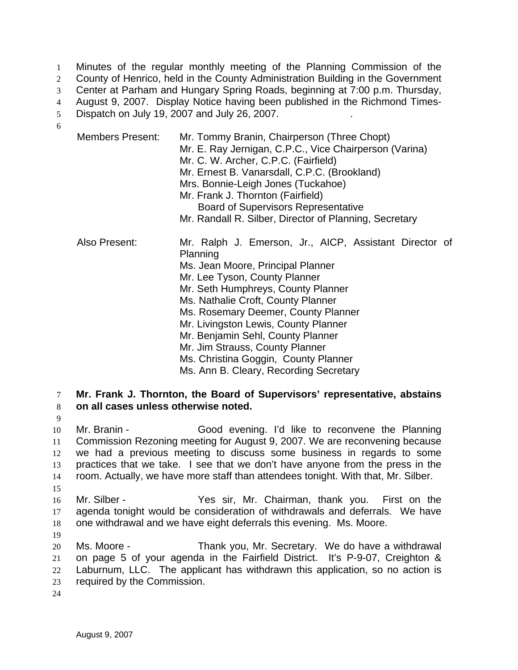Minutes of the regular monthly meeting of the Planning Commission of the County of Henrico, held in the County Administration Building in the Government Center at Parham and Hungary Spring Roads, beginning at 7:00 p.m. Thursday, August 9, 2007. Display Notice having been published in the Richmond Times-5 Dispatch on July 19, 2007 and July 26, 2007. 6

| <b>Members Present:</b> | Mr. Tommy Branin, Chairperson (Three Chopt)<br>Mr. E. Ray Jernigan, C.P.C., Vice Chairperson (Varina)<br>Mr. C. W. Archer, C.P.C. (Fairfield)<br>Mr. Ernest B. Vanarsdall, C.P.C. (Brookland)<br>Mrs. Bonnie-Leigh Jones (Tuckahoe)<br>Mr. Frank J. Thornton (Fairfield)<br><b>Board of Supervisors Representative</b><br>Mr. Randall R. Silber, Director of Planning, Secretary                                                                              |
|-------------------------|---------------------------------------------------------------------------------------------------------------------------------------------------------------------------------------------------------------------------------------------------------------------------------------------------------------------------------------------------------------------------------------------------------------------------------------------------------------|
| Also Present:           | Mr. Ralph J. Emerson, Jr., AICP, Assistant Director of<br>Planning<br>Ms. Jean Moore, Principal Planner<br>Mr. Lee Tyson, County Planner<br>Mr. Seth Humphreys, County Planner<br>Ms. Nathalie Croft, County Planner<br>Ms. Rosemary Deemer, County Planner<br>Mr. Livingston Lewis, County Planner<br>Mr. Benjamin Sehl, County Planner<br>Mr. Jim Strauss, County Planner<br>Ms. Christina Goggin, County Planner<br>Ms. Ann B. Cleary, Recording Secretary |

7 **Mr. Frank J. Thornton, the Board of Supervisors' representative, abstains**  8 **on all cases unless otherwise noted.**

Mr. Branin - Good evening. I'd like to reconvene the Planning Commission Rezoning meeting for August 9, 2007. We are reconvening because we had a previous meeting to discuss some business in regards to some practices that we take. I see that we don't have anyone from the press in the room. Actually, we have more staff than attendees tonight. With that, Mr. Silber. 15

16 Mr. Silber - Yes sir, Mr. Chairman, thank you. First on the 17 agenda tonight would be consideration of withdrawals and deferrals. We have 18 one withdrawal and we have eight deferrals this evening. Ms. Moore.

19

9

Ms. Moore - Thank you, Mr. Secretary. We do have a withdrawal on page 5 of your agenda in the Fairfield District. It's P-9-07, Creighton & Laburnum, LLC. The applicant has withdrawn this application, so no action is required by the Commission.

24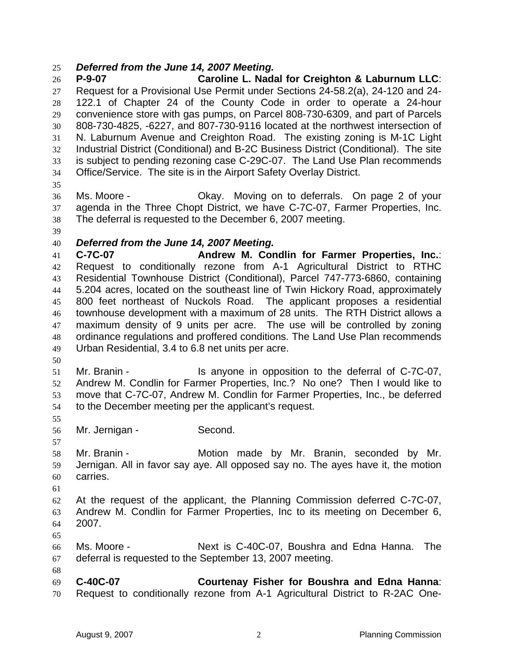## *Deferred from the June 14, 2007 Meeting.*

**P-9-07 Caroline L. Nadal for Creighton & Laburnum LLC**: Request for a Provisional Use Permit under Sections 24-58.2(a), 24-120 and 24- 122.1 of Chapter 24 of the County Code in order to operate a 24-hour convenience store with gas pumps, on Parcel 808-730-6309, and part of Parcels 808-730-4825, -6227, and 807-730-9116 located at the northwest intersection of N. Laburnum Avenue and Creighton Road. The existing zoning is M-1C Light Industrial District (Conditional) and B-2C Business District (Conditional). The site is subject to pending rezoning case C-29C-07. The Land Use Plan recommends Office/Service. The site is in the Airport Safety Overlay District.

Ms. Moore - Okay. Moving on to deferrals. On page 2 of your agenda in the Three Chopt District, we have C-7C-07, Farmer Properties, Inc. The deferral is requested to the December 6, 2007 meeting.

## *Deferred from the June 14, 2007 Meeting.*

**C-7C-07 Andrew M. Condlin for Farmer Properties, Inc.**: Request to conditionally rezone from A-1 Agricultural District to RTHC Residential Townhouse District (Conditional), Parcel 747-773-6860, containing 5.204 acres, located on the southeast line of Twin Hickory Road, approximately 800 feet northeast of Nuckols Road. The applicant proposes a residential townhouse development with a maximum of 28 units. The RTH District allows a maximum density of 9 units per acre. The use will be controlled by zoning ordinance regulations and proffered conditions. The Land Use Plan recommends Urban Residential, 3.4 to 6.8 net units per acre.

Mr. Branin - Is anyone in opposition to the deferral of C-7C-07, Andrew M. Condlin for Farmer Properties, Inc.? No one? Then I would like to move that C-7C-07, Andrew M. Condlin for Farmer Properties, Inc., be deferred to the December meeting per the applicant's request.

Mr. Jernigan - Second.

Mr. Branin - Motion made by Mr. Branin, seconded by Mr. Jernigan. All in favor say aye. All opposed say no. The ayes have it, the motion carries.

At the request of the applicant, the Planning Commission deferred C-7C-07, Andrew M. Condlin for Farmer Properties, Inc to its meeting on December 6, 2007.

Ms. Moore - Next is C-40C-07, Boushra and Edna Hanna. The deferral is requested to the September 13, 2007 meeting.

**C-40C-07 Courtenay Fisher for Boushra and Edna Hanna**: Request to conditionally rezone from A-1 Agricultural District to R-2AC One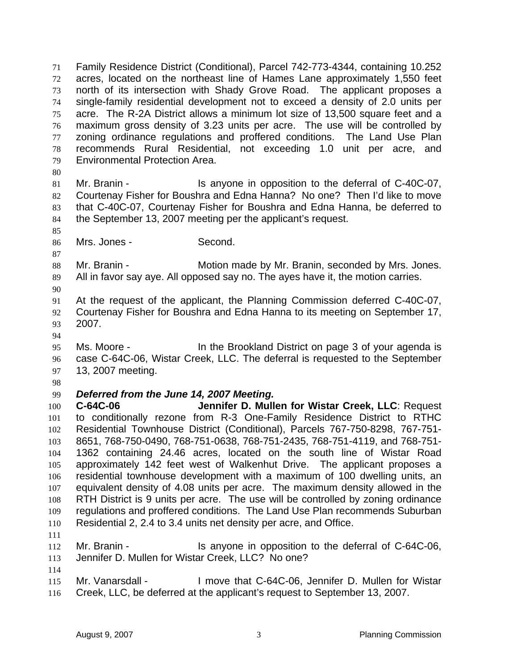Family Residence District (Conditional), Parcel 742-773-4344, containing 10.252 acres, located on the northeast line of Hames Lane approximately 1,550 feet north of its intersection with Shady Grove Road. The applicant proposes a single-family residential development not to exceed a density of 2.0 units per acre. The R-2A District allows a minimum lot size of 13,500 square feet and a maximum gross density of 3.23 units per acre. The use will be controlled by zoning ordinance regulations and proffered conditions. The Land Use Plan recommends Rural Residential, not exceeding 1.0 unit per acre, and Environmental Protection Area.

Mr. Branin - Is anyone in opposition to the deferral of C-40C-07, Courtenay Fisher for Boushra and Edna Hanna? No one? Then I'd like to move that C-40C-07, Courtenay Fisher for Boushra and Edna Hanna, be deferred to the September 13, 2007 meeting per the applicant's request.

Mrs. Jones - Second.

 88 Mr. Branin - **Motion made by Mr. Branin, seconded by Mrs. Jones.** All in favor say aye. All opposed say no. The ayes have it, the motion carries.

At the request of the applicant, the Planning Commission deferred C-40C-07, Courtenay Fisher for Boushra and Edna Hanna to its meeting on September 17, 2007.

Ms. Moore - In the Brookland District on page 3 of your agenda is case C-64C-06, Wistar Creek, LLC. The deferral is requested to the September 13, 2007 meeting.

## *Deferred from the June 14, 2007 Meeting.*

**C-64C-06 Jennifer D. Mullen for Wistar Creek, LLC**: Request to conditionally rezone from R-3 One-Family Residence District to RTHC Residential Townhouse District (Conditional), Parcels 767-750-8298, 767-751- 8651, 768-750-0490, 768-751-0638, 768-751-2435, 768-751-4119, and 768-751- 1362 containing 24.46 acres, located on the south line of Wistar Road approximately 142 feet west of Walkenhut Drive. The applicant proposes a residential townhouse development with a maximum of 100 dwelling units, an equivalent density of 4.08 units per acre. The maximum density allowed in the RTH District is 9 units per acre. The use will be controlled by zoning ordinance regulations and proffered conditions. The Land Use Plan recommends Suburban Residential 2, 2.4 to 3.4 units net density per acre, and Office.

Mr. Branin - Is anyone in opposition to the deferral of C-64C-06, Jennifer D. Mullen for Wistar Creek, LLC? No one?

115 Mr. Vanarsdall - I move that C-64C-06, Jennifer D. Mullen for Wistar Creek, LLC, be deferred at the applicant's request to September 13, 2007.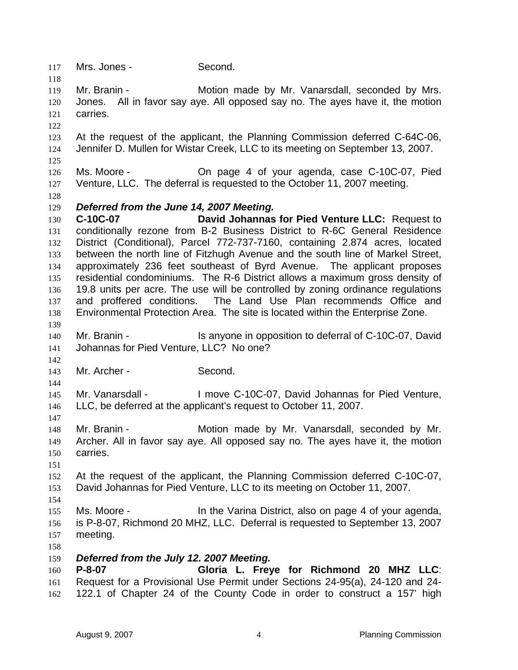Mrs. Jones - Second. Mr. Branin - Motion made by Mr. Vanarsdall, seconded by Mrs. Jones. All in favor say aye. All opposed say no. The ayes have it, the motion carries. At the request of the applicant, the Planning Commission deferred C-64C-06, Jennifer D. Mullen for Wistar Creek, LLC to its meeting on September 13, 2007. Ms. Moore - On page 4 of your agenda, case C-10C-07, Pied Venture, LLC. The deferral is requested to the October 11, 2007 meeting. *Deferred from the June 14, 2007 Meeting.*  **C-10C-07 David Johannas for Pied Venture LLC:** Request to conditionally rezone from B-2 Business District to R-6C General Residence District (Conditional), Parcel 772-737-7160, containing 2.874 acres, located between the north line of Fitzhugh Avenue and the south line of Markel Street, approximately 236 feet southeast of Byrd Avenue. The applicant proposes residential condominiums. The R-6 District allows a maximum gross density of 19.8 units per acre. The use will be controlled by zoning ordinance regulations and proffered conditions. The Land Use Plan recommends Office and Environmental Protection Area. The site is located within the Enterprise Zone. Mr. Branin - Is anyone in opposition to deferral of C-10C-07, David Johannas for Pied Venture, LLC? No one? Mr. Archer - Second. Mr. Vanarsdall - I move C-10C-07, David Johannas for Pied Venture, LLC, be deferred at the applicant's request to October 11, 2007. Mr. Branin - Motion made by Mr. Vanarsdall, seconded by Mr. Archer. All in favor say aye. All opposed say no. The ayes have it, the motion carries. At the request of the applicant, the Planning Commission deferred C-10C-07, David Johannas for Pied Venture, LLC to its meeting on October 11, 2007. Ms. Moore - In the Varina District, also on page 4 of your agenda, is P-8-07, Richmond 20 MHZ, LLC. Deferral is requested to September 13, 2007 meeting. *Deferred from the July 12. 2007 Meeting.*  **P-8-07 Gloria L. Freye for Richmond 20 MHZ LLC**: Request for a Provisional Use Permit under Sections 24-95(a), 24-120 and 24- 122.1 of Chapter 24 of the County Code in order to construct a 157' high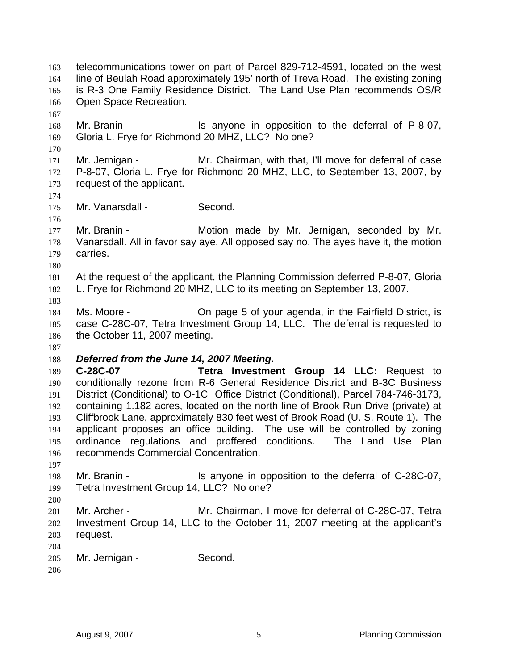telecommunications tower on part of Parcel 829-712-4591, located on the west line of Beulah Road approximately 195' north of Treva Road. The existing zoning is R-3 One Family Residence District. The Land Use Plan recommends OS/R Open Space Recreation. 168 Mr. Branin - Is anyone in opposition to the deferral of P-8-07, Gloria L. Frye for Richmond 20 MHZ, LLC? No one? Mr. Jernigan - Mr. Chairman, with that, I'll move for deferral of case P-8-07, Gloria L. Frye for Richmond 20 MHZ, LLC, to September 13, 2007, by request of the applicant. 175 Mr. Vanarsdall - Second. Mr. Branin - Motion made by Mr. Jernigan, seconded by Mr. Vanarsdall. All in favor say aye. All opposed say no. The ayes have it, the motion carries. At the request of the applicant, the Planning Commission deferred P-8-07, Gloria L. Frye for Richmond 20 MHZ, LLC to its meeting on September 13, 2007. Ms. Moore - On page 5 of your agenda, in the Fairfield District, is case C-28C-07, Tetra Investment Group 14, LLC. The deferral is requested to 186 the October 11, 2007 meeting. *Deferred from the June 14, 2007 Meeting.*  **C-28C-07 Tetra Investment Group 14 LLC:** Request to conditionally rezone from R-6 General Residence District and B-3C Business District (Conditional) to O-1C Office District (Conditional), Parcel 784-746-3173, containing 1.182 acres, located on the north line of Brook Run Drive (private) at Cliffbrook Lane, approximately 830 feet west of Brook Road (U. S. Route 1). The applicant proposes an office building. The use will be controlled by zoning ordinance regulations and proffered conditions. The Land Use Plan recommends Commercial Concentration. Mr. Branin - Is anyone in opposition to the deferral of C-28C-07, Tetra Investment Group 14, LLC? No one? Mr. Archer - Mr. Chairman, I move for deferral of C-28C-07, Tetra Investment Group 14, LLC to the October 11, 2007 meeting at the applicant's request. Mr. Jernigan - Second.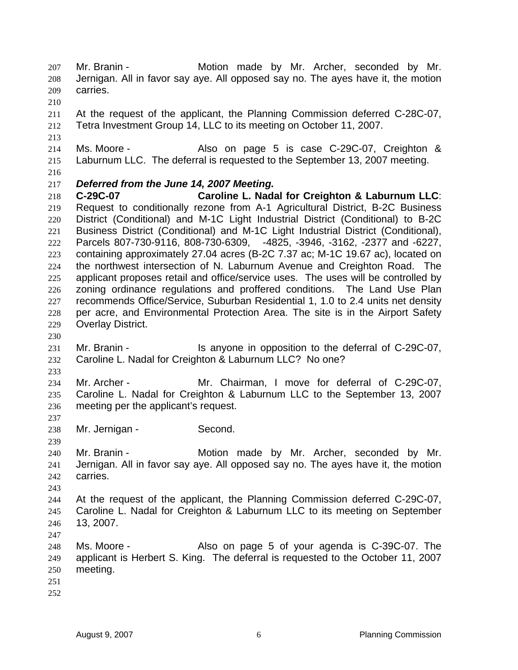Mr. Branin - Motion made by Mr. Archer, seconded by Mr. Jernigan. All in favor say aye. All opposed say no. The ayes have it, the motion carries.

At the request of the applicant, the Planning Commission deferred C-28C-07, Tetra Investment Group 14, LLC to its meeting on October 11, 2007.

214 Ms. Moore - Also on page 5 is case C-29C-07, Creighton & Laburnum LLC. The deferral is requested to the September 13, 2007 meeting.

## *Deferred from the June 14, 2007 Meeting.*

**C-29C-07 Caroline L. Nadal for Creighton & Laburnum LLC**: Request to conditionally rezone from A-1 Agricultural District, B-2C Business District (Conditional) and M-1C Light Industrial District (Conditional) to B-2C Business District (Conditional) and M-1C Light Industrial District (Conditional), Parcels 807-730-9116, 808-730-6309, -4825, -3946, -3162, -2377 and -6227, containing approximately 27.04 acres (B-2C 7.37 ac; M-1C 19.67 ac), located on the northwest intersection of N. Laburnum Avenue and Creighton Road. The applicant proposes retail and office/service uses. The uses will be controlled by zoning ordinance regulations and proffered conditions. The Land Use Plan recommends Office/Service, Suburban Residential 1, 1.0 to 2.4 units net density per acre, and Environmental Protection Area. The site is in the Airport Safety Overlay District.

Mr. Branin - Is anyone in opposition to the deferral of C-29C-07, Caroline L. Nadal for Creighton & Laburnum LLC? No one?

 Mr. Archer - Mr. Chairman, I move for deferral of C-29C-07, Caroline L. Nadal for Creighton & Laburnum LLC to the September 13, 2007 meeting per the applicant's request.

Mr. Jernigan - Second.

Mr. Branin - Motion made by Mr. Archer, seconded by Mr. Jernigan. All in favor say aye. All opposed say no. The ayes have it, the motion carries.

At the request of the applicant, the Planning Commission deferred C-29C-07, Caroline L. Nadal for Creighton & Laburnum LLC to its meeting on September 13, 2007.

Ms. Moore - Also on page 5 of your agenda is C-39C-07. The applicant is Herbert S. King. The deferral is requested to the October 11, 2007 meeting.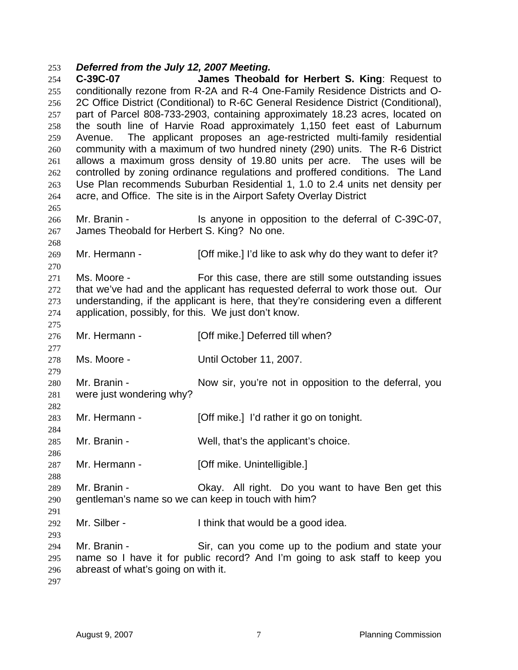### *Deferred from the July 12, 2007 Meeting.*

**C-39C-07 James Theobald for Herbert S. King**: Request to conditionally rezone from R-2A and R-4 One-Family Residence Districts and O-2C Office District (Conditional) to R-6C General Residence District (Conditional), part of Parcel 808-733-2903, containing approximately 18.23 acres, located on the south line of Harvie Road approximately 1,150 feet east of Laburnum Avenue. The applicant proposes an age-restricted multi-family residential community with a maximum of two hundred ninety (290) units. The R-6 District allows a maximum gross density of 19.80 units per acre. The uses will be controlled by zoning ordinance regulations and proffered conditions. The Land Use Plan recommends Suburban Residential 1, 1.0 to 2.4 units net density per acre, and Office. The site is in the Airport Safety Overlay District Mr. Branin - Is anyone in opposition to the deferral of C-39C-07, James Theobald for Herbert S. King? No one. Mr. Hermann - [Off mike.] I'd like to ask why do they want to defer it? Ms. Moore - For this case, there are still some outstanding issues that we've had and the applicant has requested deferral to work those out. Our understanding, if the applicant is here, that they're considering even a different application, possibly, for this. We just don't know. 276 Mr. Hermann - **[Off mike.] Deferred till when?**  Ms. Moore - Until October 11, 2007. Mr. Branin - Now sir, you're not in opposition to the deferral, you were just wondering why? Mr. Hermann - [Off mike.] I'd rather it go on tonight. 285 Mr. Branin - Well, that's the applicant's choice. 287 Mr. Hermann - [Off mike. Unintelligible.] Mr. Branin - Okay. All right. Do you want to have Ben get this gentleman's name so we can keep in touch with him? Mr. Silber - I think that would be a good idea. Mr. Branin - Sir, can you come up to the podium and state your name so I have it for public record? And I'm going to ask staff to keep you abreast of what's going on with it.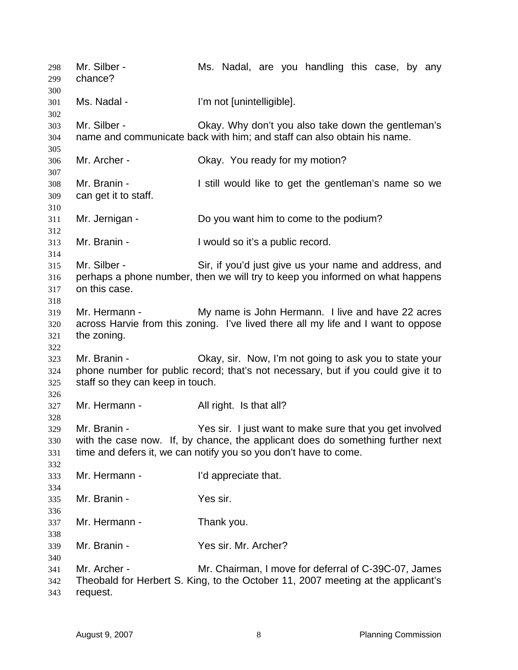Mr. Silber - Ms. Nadal, are you handling this case, by any chance? Ms. Nadal - I'm not [unintelligible]. Mr. Silber - Okay. Why don't you also take down the gentleman's name and communicate back with him; and staff can also obtain his name. Mr. Archer - Okay. You ready for my motion? Mr. Branin - I still would like to get the gentleman's name so we can get it to staff. Mr. Jernigan - Do you want him to come to the podium? Mr. Branin - I would so it's a public record. Mr. Silber - Sir, if you'd just give us your name and address, and perhaps a phone number, then we will try to keep you informed on what happens on this case. Mr. Hermann - My name is John Hermann. I live and have 22 acres across Harvie from this zoning. I've lived there all my life and I want to oppose the zoning. Mr. Branin - Okay, sir. Now, I'm not going to ask you to state your phone number for public record; that's not necessary, but if you could give it to staff so they can keep in touch. 327 Mr. Hermann - All right. Is that all? Mr. Branin - Yes sir. I just want to make sure that you get involved with the case now. If, by chance, the applicant does do something further next time and defers it, we can notify you so you don't have to come. Mr. Hermann - I'd appreciate that. Mr. Branin - Yes sir. Mr. Hermann - Thank you. Mr. Branin - Yes sir. Mr. Archer? Mr. Archer - Mr. Chairman, I move for deferral of C-39C-07, James Theobald for Herbert S. King, to the October 11, 2007 meeting at the applicant's request.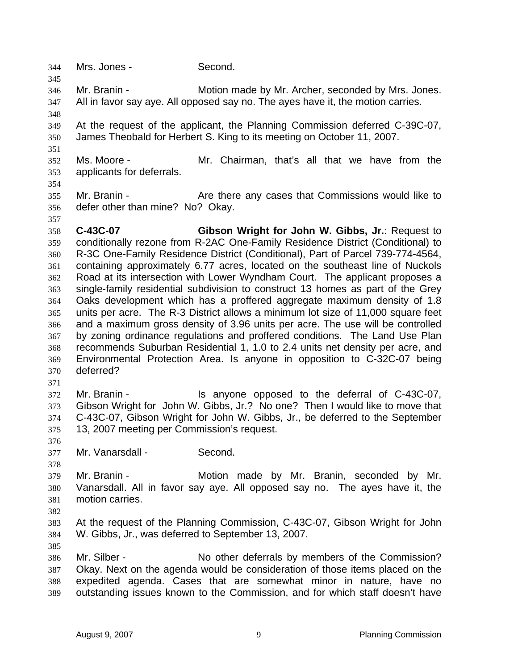Mrs. Jones - Second.

Mr. Branin - Motion made by Mr. Archer, seconded by Mrs. Jones. All in favor say aye. All opposed say no. The ayes have it, the motion carries.

 At the request of the applicant, the Planning Commission deferred C-39C-07, James Theobald for Herbert S. King to its meeting on October 11, 2007.

 Ms. Moore - Mr. Chairman, that's all that we have from the applicants for deferrals.

355 Mr. Branin - Are there any cases that Commissions would like to defer other than mine? No? Okay.

**C-43C-07 Gibson Wright for John W. Gibbs, Jr.**: Request to conditionally rezone from R-2AC One-Family Residence District (Conditional) to R-3C One-Family Residence District (Conditional), Part of Parcel 739-774-4564, containing approximately 6.77 acres, located on the southeast line of Nuckols Road at its intersection with Lower Wyndham Court. The applicant proposes a single-family residential subdivision to construct 13 homes as part of the Grey Oaks development which has a proffered aggregate maximum density of 1.8 units per acre. The R-3 District allows a minimum lot size of 11,000 square feet and a maximum gross density of 3.96 units per acre. The use will be controlled by zoning ordinance regulations and proffered conditions. The Land Use Plan recommends Suburban Residential 1, 1.0 to 2.4 units net density per acre, and Environmental Protection Area. Is anyone in opposition to C-32C-07 being deferred?

Mr. Branin - Is anyone opposed to the deferral of C-43C-07, Gibson Wright for John W. Gibbs, Jr.? No one? Then I would like to move that C-43C-07, Gibson Wright for John W. Gibbs, Jr., be deferred to the September 13, 2007 meeting per Commission's request.

Mr. Vanarsdall - Second.

Mr. Branin - Motion made by Mr. Branin, seconded by Mr. Vanarsdall. All in favor say aye. All opposed say no. The ayes have it, the motion carries.

At the request of the Planning Commission, C-43C-07, Gibson Wright for John W. Gibbs, Jr., was deferred to September 13, 2007.

Mr. Silber - No other deferrals by members of the Commission? Okay. Next on the agenda would be consideration of those items placed on the expedited agenda. Cases that are somewhat minor in nature, have no outstanding issues known to the Commission, and for which staff doesn't have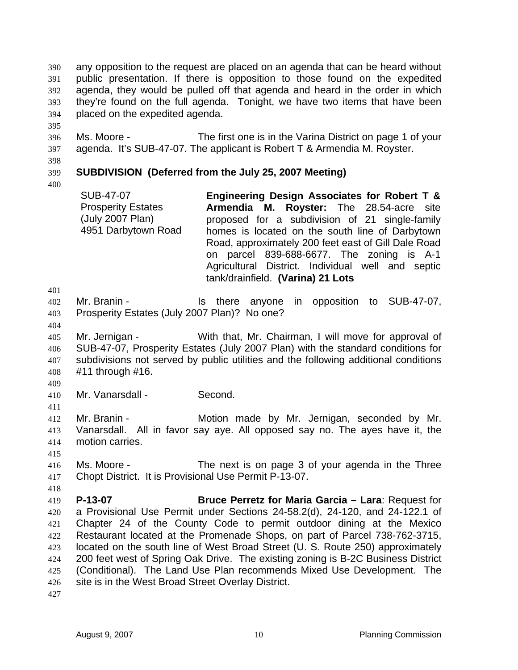any opposition to the request are placed on an agenda that can be heard without public presentation. If there is opposition to those found on the expedited agenda, they would be pulled off that agenda and heard in the order in which they're found on the full agenda. Tonight, we have two items that have been placed on the expedited agenda.

Ms. Moore - The first one is in the Varina District on page 1 of your agenda. It's SUB-47-07. The applicant is Robert T & Armendia M. Royster.

# **SUBDIVISION (Deferred from the July 25, 2007 Meeting)**

SUB-47-07 Prosperity Estates (July 2007 Plan) 4951 Darbytown Road **Engineering Design Associates for Robert T & Armendia M. Royster:** The 28.54-acre site proposed for a subdivision of 21 single-family homes is located on the south line of Darbytown Road, approximately 200 feet east of Gill Dale Road on parcel 839-688-6677. The zoning is A-1 Agricultural District. Individual well and septic tank/drainfield. **(Varina) 21 Lots** 

Mr. Branin - Is there anyone in opposition to SUB-47-07, Prosperity Estates (July 2007 Plan)? No one?

Mr. Jernigan - With that, Mr. Chairman, I will move for approval of SUB-47-07, Prosperity Estates (July 2007 Plan) with the standard conditions for subdivisions not served by public utilities and the following additional conditions #11 through #16.

Mr. Vanarsdall - Second.

Mr. Branin - Motion made by Mr. Jernigan, seconded by Mr. Vanarsdall. All in favor say aye. All opposed say no. The ayes have it, the motion carries.

Ms. Moore - The next is on page 3 of your agenda in the Three Chopt District. It is Provisional Use Permit P-13-07.

**P-13-07 Bruce Perretz for Maria Garcia – Lara**: Request for a Provisional Use Permit under Sections 24-58.2(d), 24-120, and 24-122.1 of Chapter 24 of the County Code to permit outdoor dining at the Mexico Restaurant located at the Promenade Shops, on part of Parcel 738-762-3715, located on the south line of West Broad Street (U. S. Route 250) approximately 200 feet west of Spring Oak Drive. The existing zoning is B-2C Business District (Conditional). The Land Use Plan recommends Mixed Use Development. The 426 site is in the West Broad Street Overlay District.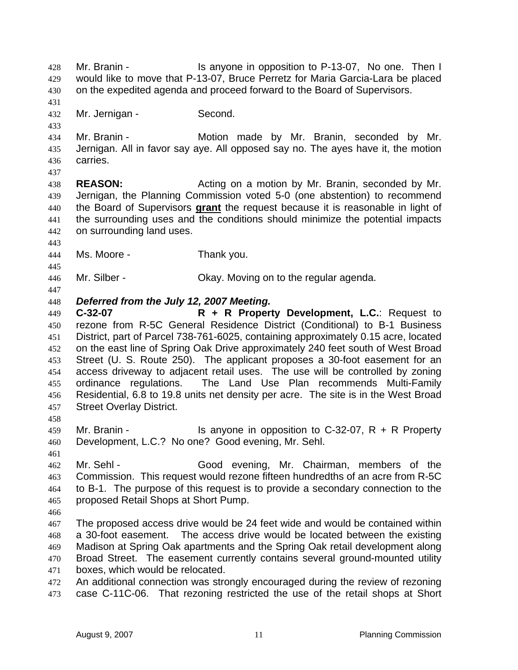Mr. Branin - Is anyone in opposition to P-13-07, No one. Then I would like to move that P-13-07, Bruce Perretz for Maria Garcia-Lara be placed on the expedited agenda and proceed forward to the Board of Supervisors.

Mr. Jernigan - Second.

Mr. Branin - Motion made by Mr. Branin, seconded by Mr. Jernigan. All in favor say aye. All opposed say no. The ayes have it, the motion carries.

**REASON:** Acting on a motion by Mr. Branin, seconded by Mr. Jernigan, the Planning Commission voted 5-0 (one abstention) to recommend the Board of Supervisors **grant** the request because it is reasonable in light of the surrounding uses and the conditions should minimize the potential impacts on surrounding land uses.

Ms. Moore - Thank you.

Mr. Silber - Okay. Moving on to the regular agenda.

### *Deferred from the July 12, 2007 Meeting.*

**C-32-07 R + R Property Development, L.C.**: Request to rezone from R-5C General Residence District (Conditional) to B-1 Business District, part of Parcel 738-761-6025, containing approximately 0.15 acre, located on the east line of Spring Oak Drive approximately 240 feet south of West Broad Street (U. S. Route 250). The applicant proposes a 30-foot easement for an access driveway to adjacent retail uses. The use will be controlled by zoning ordinance regulations. The Land Use Plan recommends Multi-Family Residential, 6.8 to 19.8 units net density per acre. The site is in the West Broad Street Overlay District.

Mr. Branin - Is anyone in opposition to C-32-07, R + R Property Development, L.C.? No one? Good evening, Mr. Sehl.

Mr. Sehl - Good evening, Mr. Chairman, members of the Commission. This request would rezone fifteen hundredths of an acre from R-5C to B-1. The purpose of this request is to provide a secondary connection to the proposed Retail Shops at Short Pump.

The proposed access drive would be 24 feet wide and would be contained within a 30-foot easement. The access drive would be located between the existing Madison at Spring Oak apartments and the Spring Oak retail development along Broad Street. The easement currently contains several ground-mounted utility boxes, which would be relocated.

An additional connection was strongly encouraged during the review of rezoning case C-11C-06. That rezoning restricted the use of the retail shops at Short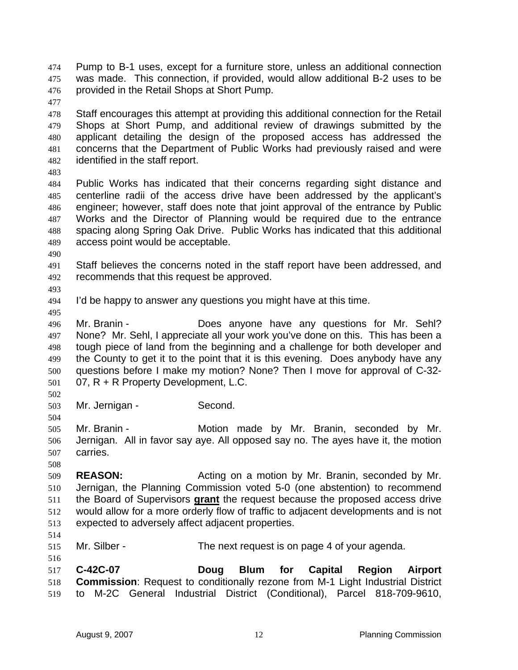Pump to B-1 uses, except for a furniture store, unless an additional connection was made. This connection, if provided, would allow additional B-2 uses to be provided in the Retail Shops at Short Pump.

Staff encourages this attempt at providing this additional connection for the Retail Shops at Short Pump, and additional review of drawings submitted by the applicant detailing the design of the proposed access has addressed the concerns that the Department of Public Works had previously raised and were identified in the staff report.

Public Works has indicated that their concerns regarding sight distance and centerline radii of the access drive have been addressed by the applicant's engineer; however, staff does note that joint approval of the entrance by Public Works and the Director of Planning would be required due to the entrance spacing along Spring Oak Drive. Public Works has indicated that this additional access point would be acceptable.

Staff believes the concerns noted in the staff report have been addressed, and recommends that this request be approved.

- I'd be happy to answer any questions you might have at this time.
- 

Mr. Branin - Does anyone have any questions for Mr. Sehl? None? Mr. Sehl, I appreciate all your work you've done on this. This has been a tough piece of land from the beginning and a challenge for both developer and the County to get it to the point that it is this evening. Does anybody have any questions before I make my motion? None? Then I move for approval of C-32- 07, R + R Property Development, L.C.

Mr. Jernigan - Second.

Mr. Branin - Motion made by Mr. Branin, seconded by Mr. Jernigan. All in favor say aye. All opposed say no. The ayes have it, the motion carries.

**REASON:** Acting on a motion by Mr. Branin, seconded by Mr. Jernigan, the Planning Commission voted 5-0 (one abstention) to recommend the Board of Supervisors **grant** the request because the proposed access drive would allow for a more orderly flow of traffic to adjacent developments and is not expected to adversely affect adjacent properties.

Mr. Silber - The next request is on page 4 of your agenda.

**C-42C-07 Doug Blum for Capital Region Airport Commission**: Request to conditionally rezone from M-1 Light Industrial District to M-2C General Industrial District (Conditional), Parcel 818-709-9610,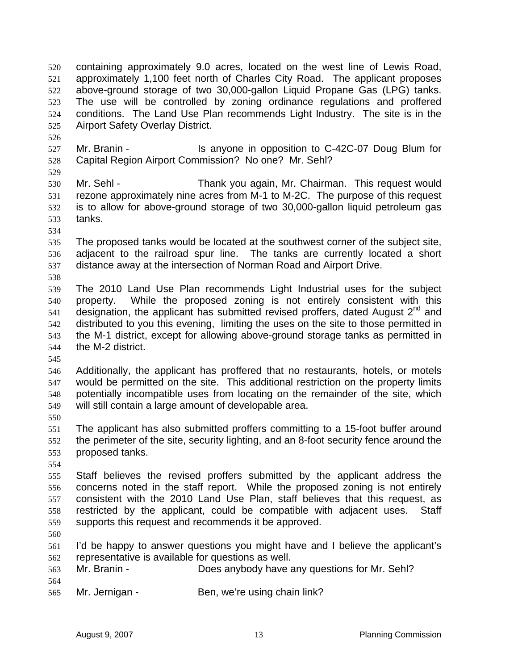containing approximately 9.0 acres, located on the west line of Lewis Road, approximately 1,100 feet north of Charles City Road. The applicant proposes above-ground storage of two 30,000-gallon Liquid Propane Gas (LPG) tanks. The use will be controlled by zoning ordinance regulations and proffered conditions. The Land Use Plan recommends Light Industry. The site is in the Airport Safety Overlay District.

- Mr. Branin Is anyone in opposition to C-42C-07 Doug Blum for Capital Region Airport Commission? No one? Mr. Sehl?
- 

Mr. Sehl - Thank you again, Mr. Chairman. This request would rezone approximately nine acres from M-1 to M-2C. The purpose of this request is to allow for above-ground storage of two 30,000-gallon liquid petroleum gas tanks.

- 
- The proposed tanks would be located at the southwest corner of the subject site, adjacent to the railroad spur line. The tanks are currently located a short distance away at the intersection of Norman Road and Airport Drive.
- 
- The 2010 Land Use Plan recommends Light Industrial uses for the subject property. While the proposed zoning is not entirely consistent with this designation, the applicant has submitted revised proffers, dated August  $2^{nd}$  and distributed to you this evening, limiting the uses on the site to those permitted in the M-1 district, except for allowing above-ground storage tanks as permitted in the M-2 district.
- 

Additionally, the applicant has proffered that no restaurants, hotels, or motels would be permitted on the site. This additional restriction on the property limits potentially incompatible uses from locating on the remainder of the site, which will still contain a large amount of developable area.

The applicant has also submitted proffers committing to a 15-foot buffer around the perimeter of the site, security lighting, and an 8-foot security fence around the proposed tanks.

Staff believes the revised proffers submitted by the applicant address the concerns noted in the staff report. While the proposed zoning is not entirely consistent with the 2010 Land Use Plan, staff believes that this request, as restricted by the applicant, could be compatible with adjacent uses. Staff supports this request and recommends it be approved.

I'd be happy to answer questions you might have and I believe the applicant's representative is available for questions as well.

- Mr. Branin Does anybody have any questions for Mr. Sehl?
- 

565 Mr. Jernigan - Ben, we're using chain link?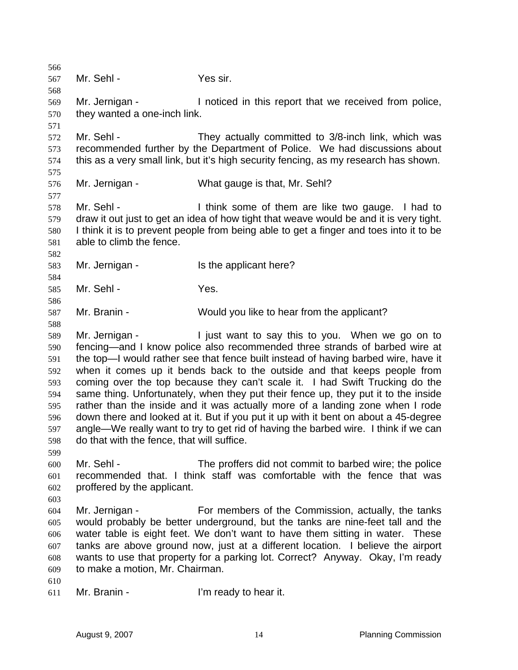Mr. Sehl - Yes sir. Mr. Jernigan - I noticed in this report that we received from police, they wanted a one-inch link. Mr. Sehl - They actually committed to 3/8-inch link, which was recommended further by the Department of Police. We had discussions about this as a very small link, but it's high security fencing, as my research has shown. Mr. Jernigan - What gauge is that, Mr. Sehl? Mr. Sehl - I think some of them are like two gauge. I had to draw it out just to get an idea of how tight that weave would be and it is very tight. I think it is to prevent people from being able to get a finger and toes into it to be able to climb the fence. Mr. Jernigan - Is the applicant here? Mr. Sehl - Yes. Mr. Branin - Would you like to hear from the applicant? Mr. Jernigan - I just want to say this to you. When we go on to fencing—and I know police also recommended three strands of barbed wire at the top—I would rather see that fence built instead of having barbed wire, have it when it comes up it bends back to the outside and that keeps people from coming over the top because they can't scale it. I had Swift Trucking do the same thing. Unfortunately, when they put their fence up, they put it to the inside rather than the inside and it was actually more of a landing zone when I rode down there and looked at it. But if you put it up with it bent on about a 45-degree angle—We really want to try to get rid of having the barbed wire. I think if we can do that with the fence, that will suffice. Mr. Sehl - The proffers did not commit to barbed wire; the police recommended that. I think staff was comfortable with the fence that was proffered by the applicant. Mr. Jernigan - For members of the Commission, actually, the tanks would probably be better underground, but the tanks are nine-feet tall and the water table is eight feet. We don't want to have them sitting in water. These tanks are above ground now, just at a different location. I believe the airport wants to use that property for a parking lot. Correct? Anyway. Okay, I'm ready to make a motion, Mr. Chairman. Mr. Branin - I'm ready to hear it.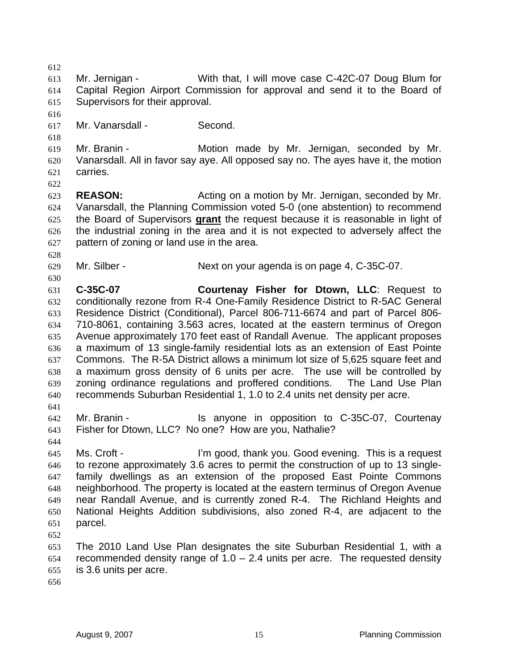Mr. Jernigan - With that, I will move case C-42C-07 Doug Blum for Capital Region Airport Commission for approval and send it to the Board of Supervisors for their approval. Mr. Vanarsdall - Second. Mr. Branin - Motion made by Mr. Jernigan, seconded by Mr. Vanarsdall. All in favor say aye. All opposed say no. The ayes have it, the motion carries. **REASON:** Acting on a motion by Mr. Jernigan, seconded by Mr. Vanarsdall, the Planning Commission voted 5-0 (one abstention) to recommend the Board of Supervisors **grant** the request because it is reasonable in light of the industrial zoning in the area and it is not expected to adversely affect the pattern of zoning or land use in the area. Mr. Silber - Next on your agenda is on page 4, C-35C-07. **C-35C-07 Courtenay Fisher for Dtown, LLC**: Request to conditionally rezone from R-4 One-Family Residence District to R-5AC General Residence District (Conditional), Parcel 806-711-6674 and part of Parcel 806- 710-8061, containing 3.563 acres, located at the eastern terminus of Oregon Avenue approximately 170 feet east of Randall Avenue. The applicant proposes a maximum of 13 single-family residential lots as an extension of East Pointe Commons. The R-5A District allows a minimum lot size of 5,625 square feet and a maximum gross density of 6 units per acre. The use will be controlled by zoning ordinance regulations and proffered conditions. The Land Use Plan recommends Suburban Residential 1, 1.0 to 2.4 units net density per acre. Mr. Branin - Is anyone in opposition to C-35C-07, Courtenay Fisher for Dtown, LLC? No one? How are you, Nathalie? Ms. Croft - I'm good, thank you. Good evening. This is a request to rezone approximately 3.6 acres to permit the construction of up to 13 single-family dwellings as an extension of the proposed East Pointe Commons neighborhood. The property is located at the eastern terminus of Oregon Avenue near Randall Avenue, and is currently zoned R-4. The Richland Heights and National Heights Addition subdivisions, also zoned R-4, are adjacent to the parcel. The 2010 Land Use Plan designates the site Suburban Residential 1, with a 654 recommended density range of  $1.0 - 2.4$  units per acre. The requested density is 3.6 units per acre.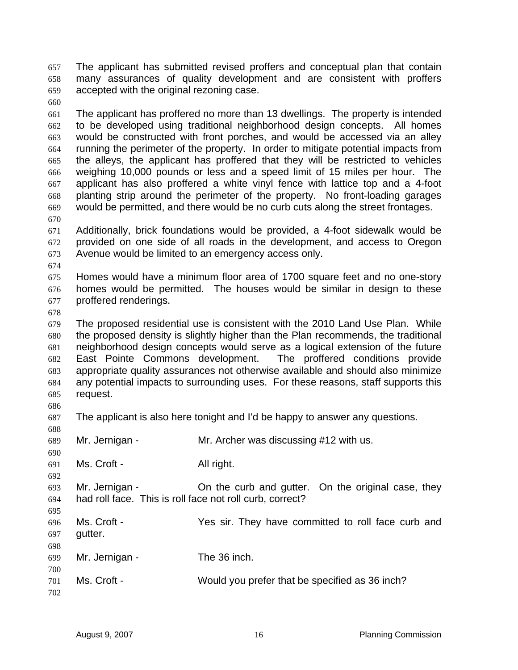The applicant has submitted revised proffers and conceptual plan that contain many assurances of quality development and are consistent with proffers accepted with the original rezoning case.

The applicant has proffered no more than 13 dwellings. The property is intended to be developed using traditional neighborhood design concepts. All homes would be constructed with front porches, and would be accessed via an alley running the perimeter of the property. In order to mitigate potential impacts from the alleys, the applicant has proffered that they will be restricted to vehicles weighing 10,000 pounds or less and a speed limit of 15 miles per hour. The applicant has also proffered a white vinyl fence with lattice top and a 4-foot planting strip around the perimeter of the property. No front-loading garages would be permitted, and there would be no curb cuts along the street frontages. 

Additionally, brick foundations would be provided, a 4-foot sidewalk would be provided on one side of all roads in the development, and access to Oregon Avenue would be limited to an emergency access only.

Homes would have a minimum floor area of 1700 square feet and no one-story homes would be permitted. The houses would be similar in design to these proffered renderings.

The proposed residential use is consistent with the 2010 Land Use Plan. While the proposed density is slightly higher than the Plan recommends, the traditional neighborhood design concepts would serve as a logical extension of the future East Pointe Commons development. The proffered conditions provide appropriate quality assurances not otherwise available and should also minimize any potential impacts to surrounding uses. For these reasons, staff supports this request.

The applicant is also here tonight and I'd be happy to answer any questions.

| 688 |                                                          |                                                    |
|-----|----------------------------------------------------------|----------------------------------------------------|
| 689 | Mr. Jernigan -                                           | Mr. Archer was discussing #12 with us.             |
| 690 |                                                          |                                                    |
| 691 | Ms. Croft -                                              | All right.                                         |
| 692 |                                                          |                                                    |
| 693 | Mr. Jernigan -                                           | On the curb and gutter. On the original case, they |
| 694 | had roll face. This is roll face not roll curb, correct? |                                                    |
| 695 |                                                          |                                                    |
| 696 | Ms. Croft -                                              | Yes sir. They have committed to roll face curb and |
| 697 | gutter.                                                  |                                                    |
|     |                                                          |                                                    |
| 698 |                                                          | The 36 inch.                                       |
| 699 | Mr. Jernigan -                                           |                                                    |
| 700 |                                                          |                                                    |
| 701 | Ms. Croft -                                              | Would you prefer that be specified as 36 inch?     |
| 702 |                                                          |                                                    |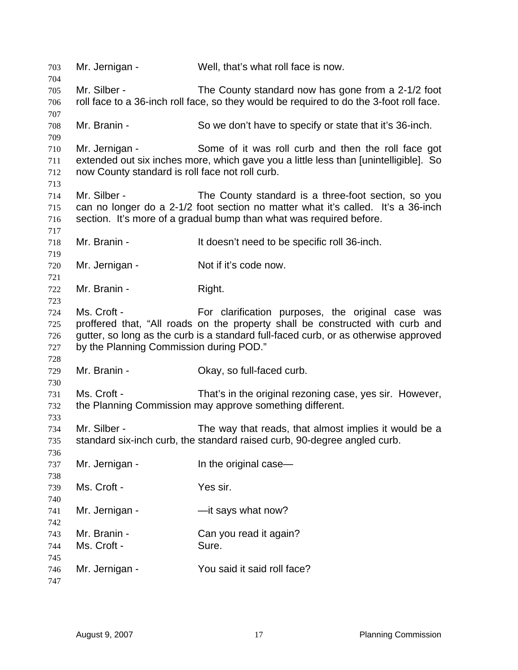Mr. Jernigan - Well, that's what roll face is now. Mr. Silber - The County standard now has gone from a 2-1/2 foot roll face to a 36-inch roll face, so they would be required to do the 3-foot roll face. Mr. Branin - So we don't have to specify or state that it's 36-inch. Mr. Jernigan - Some of it was roll curb and then the roll face got extended out six inches more, which gave you a little less than [unintelligible]. So now County standard is roll face not roll curb. Mr. Silber - The County standard is a three-foot section, so you can no longer do a 2-1/2 foot section no matter what it's called. It's a 36-inch section. It's more of a gradual bump than what was required before. Mr. Branin - It doesn't need to be specific roll 36-inch. 720 Mr. Jernigan - Not if it's code now. 722 Mr. Branin - Right. Ms. Croft - For clarification purposes, the original case was proffered that, "All roads on the property shall be constructed with curb and gutter, so long as the curb is a standard full-faced curb, or as otherwise approved 727 by the Planning Commission during POD." Mr. Branin - Okay, so full-faced curb. Ms. Croft - That's in the original rezoning case, yes sir. However, the Planning Commission may approve something different. Mr. Silber - The way that reads, that almost implies it would be a standard six-inch curb, the standard raised curb, 90-degree angled curb. 737 Mr. Jernigan - In the original case— Ms. Croft - Yes sir. 741 Mr. Jernigan - — — — — it says what now? Mr. Branin - Can you read it again? Ms. Croft - Sure. Mr. Jernigan - You said it said roll face?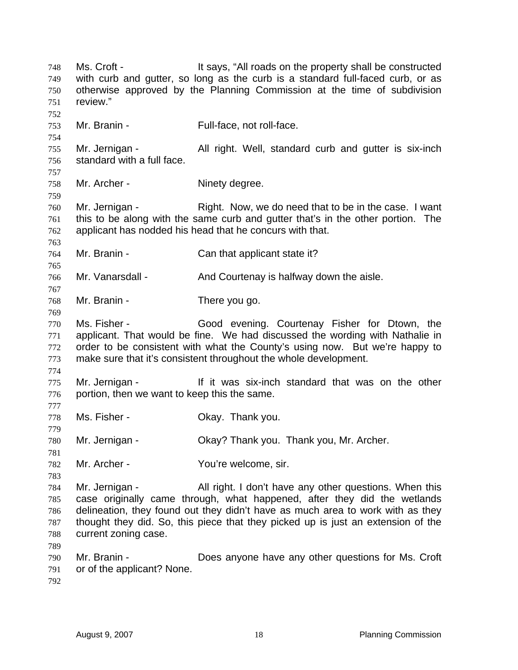Ms. Croft - It says, "All roads on the property shall be constructed with curb and gutter, so long as the curb is a standard full-faced curb, or as otherwise approved by the Planning Commission at the time of subdivision review." 753 Mr. Branin - Full-face, not roll-face. 755 Mr. Jernigan - All right. Well, standard curb and gutter is six-inch standard with a full face. Mr. Archer - Ninety degree. Mr. Jernigan - Right. Now, we do need that to be in the case. I want this to be along with the same curb and gutter that's in the other portion. The applicant has nodded his head that he concurs with that. Mr. Branin - Can that applicant state it? Mr. Vanarsdall - And Courtenay is halfway down the aisle. Mr. Branin - There you go. Ms. Fisher - Good evening. Courtenay Fisher for Dtown, the applicant. That would be fine. We had discussed the wording with Nathalie in order to be consistent with what the County's using now. But we're happy to make sure that it's consistent throughout the whole development. Mr. Jernigan - If it was six-inch standard that was on the other portion, then we want to keep this the same. Ms. Fisher - Okay. Thank you. Mr. Jernigan - Okay? Thank you. Thank you, Mr. Archer. Mr. Archer - You're welcome, sir. Mr. Jernigan - All right. I don't have any other questions. When this case originally came through, what happened, after they did the wetlands delineation, they found out they didn't have as much area to work with as they thought they did. So, this piece that they picked up is just an extension of the current zoning case. Mr. Branin - Does anyone have any other questions for Ms. Croft or of the applicant? None.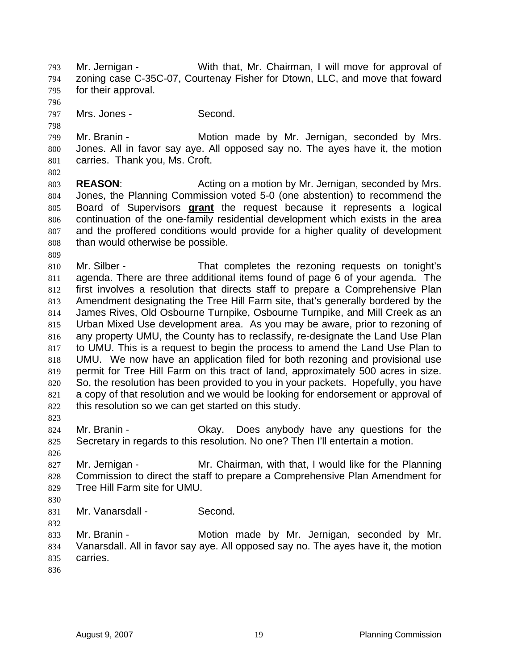Mr. Jernigan - With that, Mr. Chairman, I will move for approval of zoning case C-35C-07, Courtenay Fisher for Dtown, LLC, and move that foward for their approval. Mrs. Jones - Second. Mr. Branin - Motion made by Mr. Jernigan, seconded by Mrs. Jones. All in favor say aye. All opposed say no. The ayes have it, the motion carries. Thank you, Ms. Croft. **REASON:** Acting on a motion by Mr. Jernigan, seconded by Mrs. Jones, the Planning Commission voted 5-0 (one abstention) to recommend the Board of Supervisors **grant** the request because it represents a logical continuation of the one-family residential development which exists in the area and the proffered conditions would provide for a higher quality of development than would otherwise be possible. 810 Mr. Silber - That completes the rezoning requests on tonight's agenda. There are three additional items found of page 6 of your agenda. The first involves a resolution that directs staff to prepare a Comprehensive Plan Amendment designating the Tree Hill Farm site, that's generally bordered by the James Rives, Old Osbourne Turnpike, Osbourne Turnpike, and Mill Creek as an Urban Mixed Use development area. As you may be aware, prior to rezoning of any property UMU, the County has to reclassify, re-designate the Land Use Plan to UMU. This is a request to begin the process to amend the Land Use Plan to UMU. We now have an application filed for both rezoning and provisional use permit for Tree Hill Farm on this tract of land, approximately 500 acres in size. So, the resolution has been provided to you in your packets. Hopefully, you have a copy of that resolution and we would be looking for endorsement or approval of this resolution so we can get started on this study. Mr. Branin - Okay. Does anybody have any questions for the Secretary in regards to this resolution. No one? Then I'll entertain a motion. Mr. Jernigan - Mr. Chairman, with that, I would like for the Planning Commission to direct the staff to prepare a Comprehensive Plan Amendment for Tree Hill Farm site for UMU. 831 Mr. Vanarsdall - Second. Mr. Branin - Motion made by Mr. Jernigan, seconded by Mr. Vanarsdall. All in favor say aye. All opposed say no. The ayes have it, the motion carries.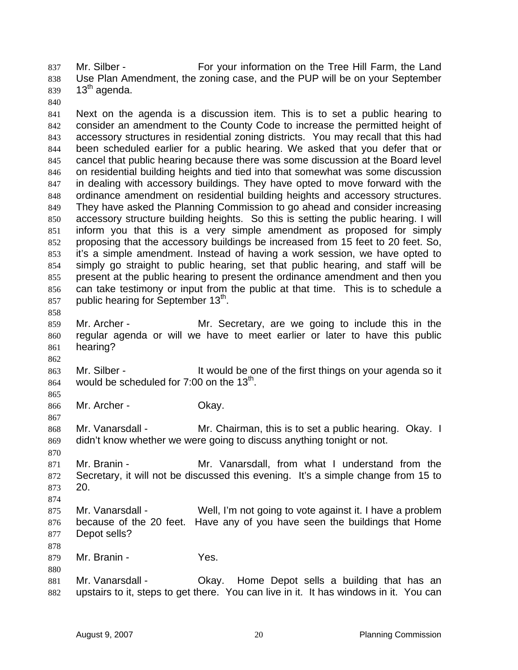Mr. Silber - For your information on the Tree Hill Farm, the Land 838 Use Plan Amendment, the zoning case, and the PUP will be on your September 13<sup>th</sup> agenda.

Next on the agenda is a discussion item. This is to set a public hearing to consider an amendment to the County Code to increase the permitted height of accessory structures in residential zoning districts. You may recall that this had been scheduled earlier for a public hearing. We asked that you defer that or cancel that public hearing because there was some discussion at the Board level on residential building heights and tied into that somewhat was some discussion in dealing with accessory buildings. They have opted to move forward with the ordinance amendment on residential building heights and accessory structures. They have asked the Planning Commission to go ahead and consider increasing accessory structure building heights. So this is setting the public hearing. I will inform you that this is a very simple amendment as proposed for simply proposing that the accessory buildings be increased from 15 feet to 20 feet. So, it's a simple amendment. Instead of having a work session, we have opted to simply go straight to public hearing, set that public hearing, and staff will be present at the public hearing to present the ordinance amendment and then you can take testimony or input from the public at that time. This is to schedule a 857 public hearing for September  $13<sup>th</sup>$ . 

- Mr. Archer Mr. Secretary, are we going to include this in the regular agenda or will we have to meet earlier or later to have this public hearing?
- 863 Mr. Silber It would be one of the first things on your agenda so it 864 would be scheduled for 7:00 on the  $13<sup>th</sup>$ .
- 

Mr. Archer - Okay.

Mr. Vanarsdall - Mr. Chairman, this is to set a public hearing. Okay. I didn't know whether we were going to discuss anything tonight or not.

Mr. Branin - Mr. Vanarsdall, from what I understand from the Secretary, it will not be discussed this evening. It's a simple change from 15 to 20.

- Mr. Vanarsdall Well, I'm not going to vote against it. I have a problem because of the 20 feet. Have any of you have seen the buildings that Home Depot sells?
- Mr. Branin Yes.
- 881 Mr. Vanarsdall Chay. Home Depot sells a building that has an upstairs to it, steps to get there. You can live in it. It has windows in it. You can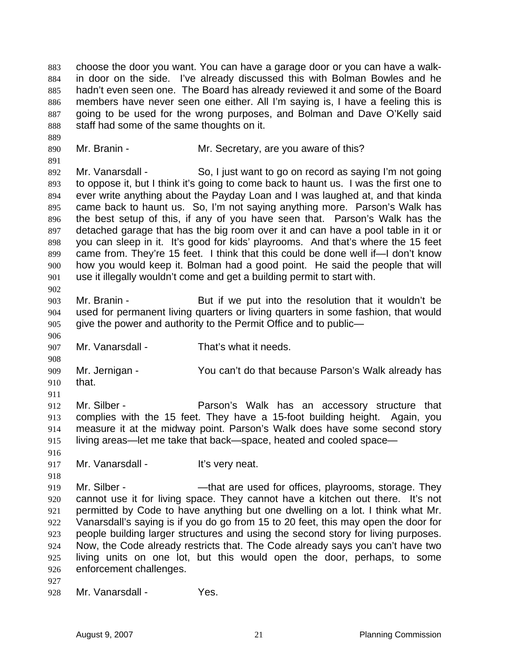choose the door you want. You can have a garage door or you can have a walk-in door on the side. I've already discussed this with Bolman Bowles and he hadn't even seen one. The Board has already reviewed it and some of the Board members have never seen one either. All I'm saying is, I have a feeling this is going to be used for the wrong purposes, and Bolman and Dave O'Kelly said staff had some of the same thoughts on it.

890 Mr. Branin - Mr. Secretary, are you aware of this?

892 Mr. Vanarsdall - So, I just want to go on record as saying I'm not going to oppose it, but I think it's going to come back to haunt us. I was the first one to ever write anything about the Payday Loan and I was laughed at, and that kinda came back to haunt us. So, I'm not saying anything more. Parson's Walk has the best setup of this, if any of you have seen that. Parson's Walk has the detached garage that has the big room over it and can have a pool table in it or you can sleep in it. It's good for kids' playrooms. And that's where the 15 feet came from. They're 15 feet. I think that this could be done well if—I don't know how you would keep it. Bolman had a good point. He said the people that will use it illegally wouldn't come and get a building permit to start with. 

Mr. Branin - But if we put into the resolution that it wouldn't be used for permanent living quarters or living quarters in some fashion, that would give the power and authority to the Permit Office and to public—

Mr. Vanarsdall - That's what it needs.

Mr. Jernigan - You can't do that because Parson's Walk already has that.

Mr. Silber - Parson's Walk has an accessory structure that complies with the 15 feet. They have a 15-foot building height. Again, you measure it at the midway point. Parson's Walk does have some second story living areas—let me take that back—space, heated and cooled space—

 917 Mr. Vanarsdall - It's very neat.

919 Mr. Silber - — — — — that are used for offices, playrooms, storage. They cannot use it for living space. They cannot have a kitchen out there. It's not permitted by Code to have anything but one dwelling on a lot. I think what Mr. Vanarsdall's saying is if you do go from 15 to 20 feet, this may open the door for people building larger structures and using the second story for living purposes. Now, the Code already restricts that. The Code already says you can't have two living units on one lot, but this would open the door, perhaps, to some enforcement challenges.

Mr. Vanarsdall - Yes.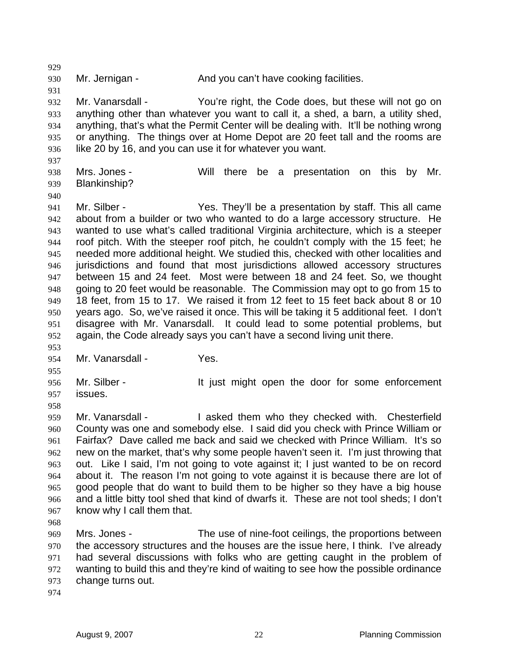930 Mr. Jernigan - And you can't have cooking facilities. Mr. Vanarsdall - You're right, the Code does, but these will not go on anything other than whatever you want to call it, a shed, a barn, a utility shed, anything, that's what the Permit Center will be dealing with. It'll be nothing wrong or anything. The things over at Home Depot are 20 feet tall and the rooms are like 20 by 16, and you can use it for whatever you want. Mrs. Jones - Will there be a presentation on this by Mr. Blankinship? 941 Mr. Silber - Yes. They'll be a presentation by staff. This all came about from a builder or two who wanted to do a large accessory structure. He wanted to use what's called traditional Virginia architecture, which is a steeper roof pitch. With the steeper roof pitch, he couldn't comply with the 15 feet; he needed more additional height. We studied this, checked with other localities and jurisdictions and found that most jurisdictions allowed accessory structures between 15 and 24 feet. Most were between 18 and 24 feet. So, we thought going to 20 feet would be reasonable. The Commission may opt to go from 15 to 18 feet, from 15 to 17. We raised it from 12 feet to 15 feet back about 8 or 10 years ago. So, we've raised it once. This will be taking it 5 additional feet. I don't disagree with Mr. Vanarsdall. It could lead to some potential problems, but again, the Code already says you can't have a second living unit there. 954 Mr. Vanarsdall - Yes. Mr. Silber - It just might open the door for some enforcement issues. Mr. Vanarsdall - I asked them who they checked with. Chesterfield County was one and somebody else. I said did you check with Prince William or Fairfax? Dave called me back and said we checked with Prince William. It's so new on the market, that's why some people haven't seen it. I'm just throwing that out. Like I said, I'm not going to vote against it; I just wanted to be on record about it. The reason I'm not going to vote against it is because there are lot of good people that do want to build them to be higher so they have a big house and a little bitty tool shed that kind of dwarfs it. These are not tool sheds; I don't know why I call them that. Mrs. Jones - The use of nine-foot ceilings, the proportions between the accessory structures and the houses are the issue here, I think. I've already had several discussions with folks who are getting caught in the problem of wanting to build this and they're kind of waiting to see how the possible ordinance change turns out.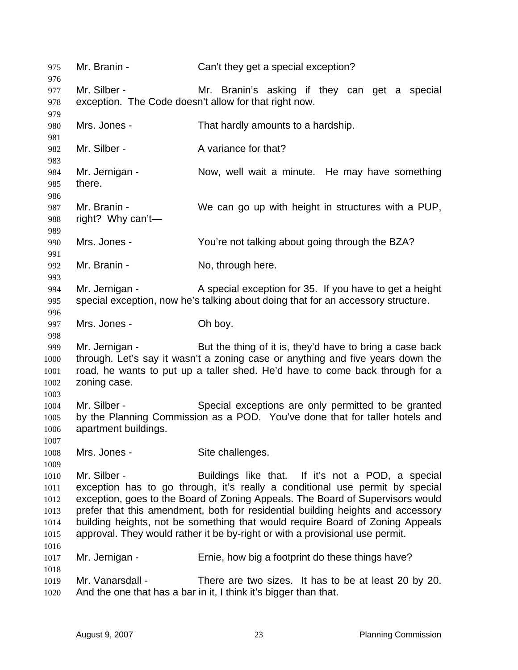| 975<br>976   | Mr. Branin -         | Can't they get a special exception?                                              |  |
|--------------|----------------------|----------------------------------------------------------------------------------|--|
| 977          | Mr. Silber -         | Mr. Branin's asking if they can get a special                                    |  |
| 978          |                      | exception. The Code doesn't allow for that right now.                            |  |
| 979          |                      |                                                                                  |  |
| 980          | Mrs. Jones -         | That hardly amounts to a hardship.                                               |  |
| 981          |                      |                                                                                  |  |
| 982          | Mr. Silber -         | A variance for that?                                                             |  |
| 983          |                      |                                                                                  |  |
| 984          | Mr. Jernigan -       | Now, well wait a minute. He may have something                                   |  |
| 985          | there.               |                                                                                  |  |
| 986          |                      |                                                                                  |  |
| 987          | Mr. Branin -         | We can go up with height in structures with a PUP,                               |  |
| 988          | right? Why can't—    |                                                                                  |  |
| 989          |                      |                                                                                  |  |
| 990          | Mrs. Jones -         | You're not talking about going through the BZA?                                  |  |
| 991          |                      |                                                                                  |  |
| 992          | Mr. Branin -         | No, through here.                                                                |  |
| 993          |                      |                                                                                  |  |
| 994          | Mr. Jernigan -       | A special exception for 35. If you have to get a height                          |  |
| 995          |                      | special exception, now he's talking about doing that for an accessory structure. |  |
| 996<br>997   | Mrs. Jones -         | Oh boy.                                                                          |  |
| 998          |                      |                                                                                  |  |
| 999          | Mr. Jernigan -       | But the thing of it is, they'd have to bring a case back                         |  |
| 1000         |                      | through. Let's say it wasn't a zoning case or anything and five years down the   |  |
| 1001         |                      | road, he wants to put up a taller shed. He'd have to come back through for a     |  |
| 1002         | zoning case.         |                                                                                  |  |
| 1003         |                      |                                                                                  |  |
| 1004         | Mr. Silber -         | Special exceptions are only permitted to be granted                              |  |
| 1005         |                      | by the Planning Commission as a POD. You've done that for taller hotels and      |  |
| 1006         | apartment buildings. |                                                                                  |  |
| 1007         |                      |                                                                                  |  |
| 1008         | Mrs. Jones -         | Site challenges.                                                                 |  |
| 1009         |                      |                                                                                  |  |
| 1010         | Mr. Silber -         | Buildings like that. If it's not a POD, a special                                |  |
| 1011         |                      | exception has to go through, it's really a conditional use permit by special     |  |
| 1012         |                      | exception, goes to the Board of Zoning Appeals. The Board of Supervisors would   |  |
| 1013         |                      | prefer that this amendment, both for residential building heights and accessory  |  |
| 1014         |                      | building heights, not be something that would require Board of Zoning Appeals    |  |
| 1015         |                      | approval. They would rather it be by-right or with a provisional use permit.     |  |
| 1016<br>1017 | Mr. Jernigan -       | Ernie, how big a footprint do these things have?                                 |  |
| 1018         |                      |                                                                                  |  |
| 1019         | Mr. Vanarsdall -     | There are two sizes. It has to be at least 20 by 20.                             |  |
| 1020         |                      | And the one that has a bar in it, I think it's bigger than that.                 |  |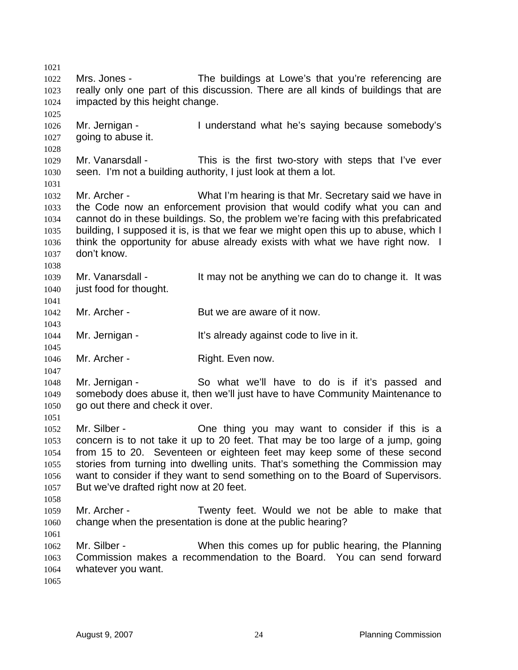Mrs. Jones - The buildings at Lowe's that you're referencing are really only one part of this discussion. There are all kinds of buildings that are impacted by this height change. Mr. Jernigan - I understand what he's saying because somebody's 1027 going to abuse it. Mr. Vanarsdall - This is the first two-story with steps that I've ever seen. I'm not a building authority, I just look at them a lot. Mr. Archer - What I'm hearing is that Mr. Secretary said we have in the Code now an enforcement provision that would codify what you can and cannot do in these buildings. So, the problem we're facing with this prefabricated building, I supposed it is, is that we fear we might open this up to abuse, which I think the opportunity for abuse already exists with what we have right now. I don't know. 1039 Mr. Vanarsdall - It may not be anything we can do to change it. It was 1040 just food for thought. 1042 Mr. Archer - But we are aware of it now. 1044 Mr. Jernigan - It's already against code to live in it. 1046 Mr. Archer - Right. Even now. Mr. Jernigan - So what we'll have to do is if it's passed and somebody does abuse it, then we'll just have to have Community Maintenance to 1050 go out there and check it over. Mr. Silber - One thing you may want to consider if this is a concern is to not take it up to 20 feet. That may be too large of a jump, going from 15 to 20. Seventeen or eighteen feet may keep some of these second stories from turning into dwelling units. That's something the Commission may want to consider if they want to send something on to the Board of Supervisors. But we've drafted right now at 20 feet. Mr. Archer - Twenty feet. Would we not be able to make that change when the presentation is done at the public hearing? Mr. Silber - When this comes up for public hearing, the Planning Commission makes a recommendation to the Board. You can send forward whatever you want.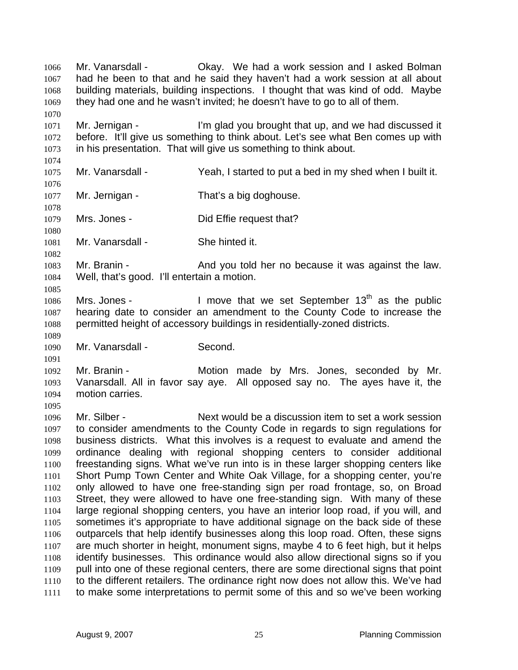Mr. Vanarsdall - Okay. We had a work session and I asked Bolman had he been to that and he said they haven't had a work session at all about building materials, building inspections. I thought that was kind of odd. Maybe they had one and he wasn't invited; he doesn't have to go to all of them. Mr. Jernigan - I'm glad you brought that up, and we had discussed it before. It'll give us something to think about. Let's see what Ben comes up with in his presentation. That will give us something to think about. Mr. Vanarsdall - Yeah, I started to put a bed in my shed when I built it. 1077 Mr. Jernigan - That's a big doghouse. 1079 Mrs. Jones - Did Effie request that? Mr. Vanarsdall - She hinted it. 1083 Mr. Branin - And you told her no because it was against the law. Well, that's good. I'll entertain a motion. 1086 Mrs. Jones - I move that we set September  $13<sup>th</sup>$  as the public hearing date to consider an amendment to the County Code to increase the permitted height of accessory buildings in residentially-zoned districts. Mr. Vanarsdall - Second. Mr. Branin - Motion made by Mrs. Jones, seconded by Mr. Vanarsdall. All in favor say aye. All opposed say no. The ayes have it, the motion carries. Mr. Silber - Next would be a discussion item to set a work session to consider amendments to the County Code in regards to sign regulations for business districts. What this involves is a request to evaluate and amend the ordinance dealing with regional shopping centers to consider additional freestanding signs. What we've run into is in these larger shopping centers like Short Pump Town Center and White Oak Village, for a shopping center, you're only allowed to have one free-standing sign per road frontage, so, on Broad Street, they were allowed to have one free-standing sign. With many of these large regional shopping centers, you have an interior loop road, if you will, and sometimes it's appropriate to have additional signage on the back side of these outparcels that help identify businesses along this loop road. Often, these signs are much shorter in height, monument signs, maybe 4 to 6 feet high, but it helps identify businesses. This ordinance would also allow directional signs so if you pull into one of these regional centers, there are some directional signs that point to the different retailers. The ordinance right now does not allow this. We've had to make some interpretations to permit some of this and so we've been working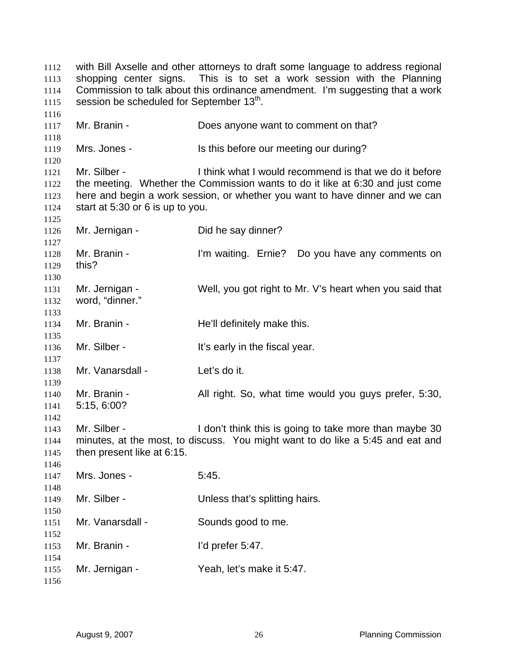with Bill Axselle and other attorneys to draft some language to address regional shopping center signs. This is to set a work session with the Planning Commission to talk about this ordinance amendment. I'm suggesting that a work 1115 session be scheduled for September  $13<sup>th</sup>$ . 1117 Mr. Branin - Does anyone want to comment on that? 1119 Mrs. Jones - Is this before our meeting our during? Mr. Silber - I think what I would recommend is that we do it before the meeting. Whether the Commission wants to do it like at 6:30 and just come here and begin a work session, or whether you want to have dinner and we can start at 5:30 or 6 is up to you. Mr. Jernigan - Did he say dinner? Mr. Branin - I'm waiting. Ernie? Do you have any comments on this? Mr. Jernigan - Well, you got right to Mr. V's heart when you said that word, "dinner." 1134 Mr. Branin - He'll definitely make this. 1136 Mr. Silber - It's early in the fiscal year. Mr. Vanarsdall - Let's do it. Mr. Branin - All right. So, what time would you guys prefer, 5:30, 5:15, 6:00? Mr. Silber - I don't think this is going to take more than maybe 30 minutes, at the most, to discuss. You might want to do like a 5:45 and eat and then present like at 6:15. Mrs. Jones - 5:45. Mr. Silber - Unless that's splitting hairs. Mr. Vanarsdall - Sounds good to me. 1153 Mr. Branin - I'd prefer 5:47. Mr. Jernigan - Yeah, let's make it 5:47.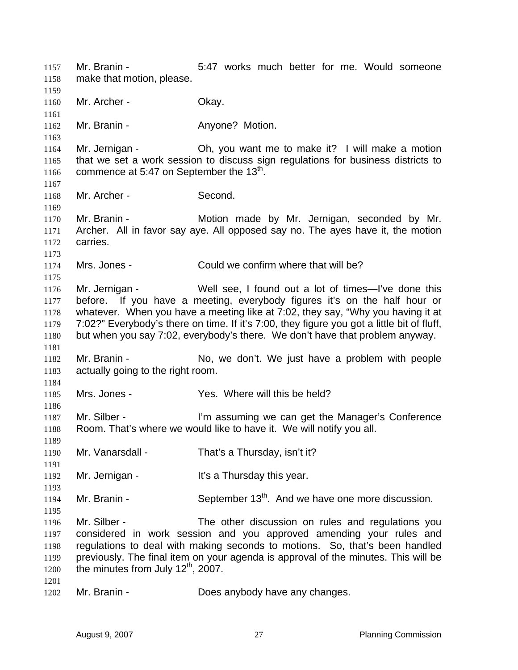Mr. Branin - 5:47 works much better for me. Would someone make that motion, please. 1160 Mr. Archer - Okay. 1162 Mr. Branin - **Anyone? Motion.**  Mr. Jernigan - Oh, you want me to make it? I will make a motion that we set a work session to discuss sign regulations for business districts to 1166 commence at 5:47 on September the  $13<sup>th</sup>$ . Mr. Archer - Second. Mr. Branin - Motion made by Mr. Jernigan, seconded by Mr. Archer. All in favor say aye. All opposed say no. The ayes have it, the motion carries. Mrs. Jones - Could we confirm where that will be? Mr. Jernigan - Well see, I found out a lot of times—I've done this before. If you have a meeting, everybody figures it's on the half hour or whatever. When you have a meeting like at 7:02, they say, "Why you having it at 7:02?" Everybody's there on time. If it's 7:00, they figure you got a little bit of fluff, but when you say 7:02, everybody's there. We don't have that problem anyway. Mr. Branin - No, we don't. We just have a problem with people actually going to the right room. Mrs. Jones - Yes. Where will this be held? 1187 Mr. Silber - I'm assuming we can get the Manager's Conference Room. That's where we would like to have it. We will notify you all. Mr. Vanarsdall - That's a Thursday, isn't it? 1192 Mr. Jernigan - It's a Thursday this year. 1194 Mr. Branin - September  $13<sup>th</sup>$ . And we have one more discussion. Mr. Silber - The other discussion on rules and regulations you considered in work session and you approved amending your rules and regulations to deal with making seconds to motions. So, that's been handled previously. The final item on your agenda is approval of the minutes. This will be 1200 the minutes from July  $12^{th}$ , 2007. Mr. Branin - Does anybody have any changes.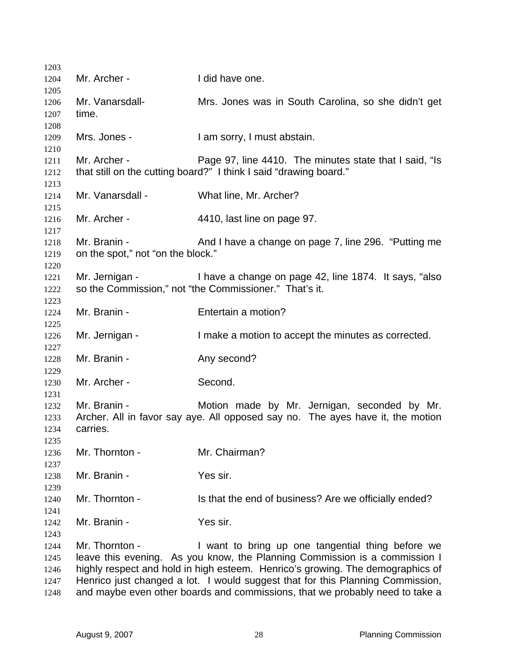| 1203                                 |                                                   |                                                                                                                                                                                                                                                                                                                                                                                     |
|--------------------------------------|---------------------------------------------------|-------------------------------------------------------------------------------------------------------------------------------------------------------------------------------------------------------------------------------------------------------------------------------------------------------------------------------------------------------------------------------------|
| 1204                                 | Mr. Archer -                                      | I did have one.                                                                                                                                                                                                                                                                                                                                                                     |
| 1205<br>1206<br>1207                 | Mr. Vanarsdall-<br>time.                          | Mrs. Jones was in South Carolina, so she didn't get                                                                                                                                                                                                                                                                                                                                 |
| 1208<br>1209<br>1210                 | Mrs. Jones -                                      | I am sorry, I must abstain.                                                                                                                                                                                                                                                                                                                                                         |
| 1211<br>1212<br>1213                 | Mr. Archer -                                      | Page 97, line 4410. The minutes state that I said, "Is<br>that still on the cutting board?" I think I said "drawing board."                                                                                                                                                                                                                                                         |
| 1214<br>1215                         | Mr. Vanarsdall -                                  | What line, Mr. Archer?                                                                                                                                                                                                                                                                                                                                                              |
| 1216<br>1217                         | Mr. Archer -                                      | 4410, last line on page 97.                                                                                                                                                                                                                                                                                                                                                         |
| 1218<br>1219                         | Mr. Branin -<br>on the spot," not "on the block." | And I have a change on page 7, line 296. "Putting me                                                                                                                                                                                                                                                                                                                                |
| 1220<br>1221<br>1222                 |                                                   | Mr. Jernigan - I have a change on page 42, line 1874. It says, "also<br>so the Commission," not "the Commissioner." That's it.                                                                                                                                                                                                                                                      |
| 1223<br>1224<br>1225                 | Mr. Branin -                                      | Entertain a motion?                                                                                                                                                                                                                                                                                                                                                                 |
| 1226<br>1227                         | Mr. Jernigan -                                    | I make a motion to accept the minutes as corrected.                                                                                                                                                                                                                                                                                                                                 |
| 1228<br>1229                         | Mr. Branin -                                      | Any second?                                                                                                                                                                                                                                                                                                                                                                         |
| 1230<br>1231                         | Mr. Archer -                                      | Second.                                                                                                                                                                                                                                                                                                                                                                             |
| 1232<br>1233<br>1234<br>1235         | Mr. Branin -<br>carries.                          | Motion made by Mr. Jernigan, seconded by Mr.<br>Archer. All in favor say aye. All opposed say no. The ayes have it, the motion                                                                                                                                                                                                                                                      |
| 1236<br>1237                         | Mr. Thornton -                                    | Mr. Chairman?                                                                                                                                                                                                                                                                                                                                                                       |
| 1238<br>1239                         | Mr. Branin -                                      | Yes sir.                                                                                                                                                                                                                                                                                                                                                                            |
| 1240<br>1241                         | Mr. Thornton -                                    | Is that the end of business? Are we officially ended?                                                                                                                                                                                                                                                                                                                               |
| 1242<br>1243                         | Mr. Branin -                                      | Yes sir.                                                                                                                                                                                                                                                                                                                                                                            |
| 1244<br>1245<br>1246<br>1247<br>1248 | Mr. Thornton -                                    | I want to bring up one tangential thing before we<br>leave this evening. As you know, the Planning Commission is a commission I<br>highly respect and hold in high esteem. Henrico's growing. The demographics of<br>Henrico just changed a lot. I would suggest that for this Planning Commission,<br>and maybe even other boards and commissions, that we probably need to take a |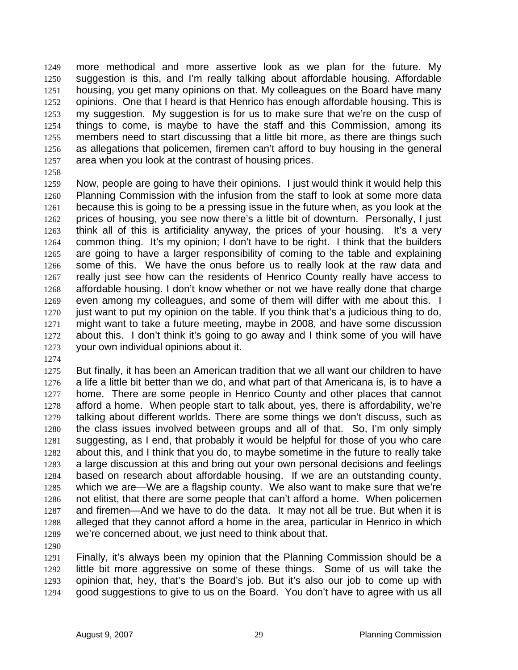more methodical and more assertive look as we plan for the future. My suggestion is this, and I'm really talking about affordable housing. Affordable housing, you get many opinions on that. My colleagues on the Board have many opinions. One that I heard is that Henrico has enough affordable housing. This is my suggestion. My suggestion is for us to make sure that we're on the cusp of things to come, is maybe to have the staff and this Commission, among its members need to start discussing that a little bit more, as there are things such as allegations that policemen, firemen can't afford to buy housing in the general area when you look at the contrast of housing prices.

Now, people are going to have their opinions. I just would think it would help this Planning Commission with the infusion from the staff to look at some more data because this is going to be a pressing issue in the future when, as you look at the prices of housing, you see now there's a little bit of downturn. Personally, I just think all of this is artificiality anyway, the prices of your housing. It's a very common thing. It's my opinion; I don't have to be right. I think that the builders are going to have a larger responsibility of coming to the table and explaining some of this. We have the onus before us to really look at the raw data and really just see how can the residents of Henrico County really have access to affordable housing. I don't know whether or not we have really done that charge even among my colleagues, and some of them will differ with me about this. I 1270 just want to put my opinion on the table. If you think that's a judicious thing to do, might want to take a future meeting, maybe in 2008, and have some discussion about this. I don't think it's going to go away and I think some of you will have your own individual opinions about it.

But finally, it has been an American tradition that we all want our children to have a life a little bit better than we do, and what part of that Americana is, is to have a 1277 home. There are some people in Henrico County and other places that cannot afford a home. When people start to talk about, yes, there is affordability, we're talking about different worlds. There are some things we don't discuss, such as the class issues involved between groups and all of that. So, I'm only simply suggesting, as I end, that probably it would be helpful for those of you who care about this, and I think that you do, to maybe sometime in the future to really take a large discussion at this and bring out your own personal decisions and feelings based on research about affordable housing. If we are an outstanding county, which we are—We are a flagship county. We also want to make sure that we're not elitist, that there are some people that can't afford a home. When policemen and firemen—And we have to do the data. It may not all be true. But when it is alleged that they cannot afford a home in the area, particular in Henrico in which we're concerned about, we just need to think about that.

Finally, it's always been my opinion that the Planning Commission should be a little bit more aggressive on some of these things. Some of us will take the opinion that, hey, that's the Board's job. But it's also our job to come up with good suggestions to give to us on the Board. You don't have to agree with us all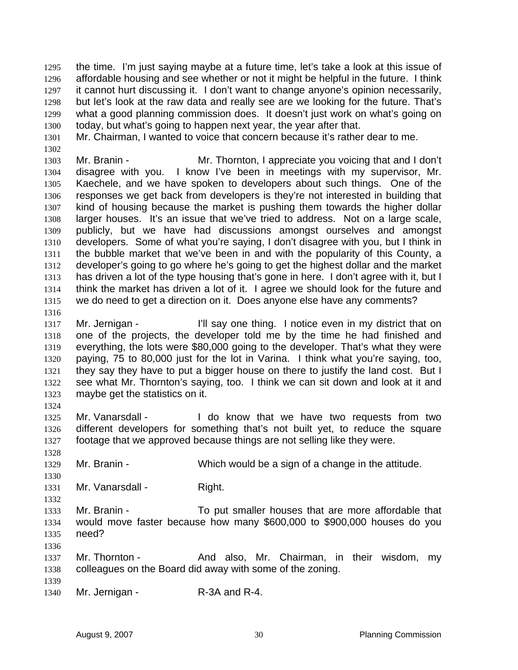the time. I'm just saying maybe at a future time, let's take a look at this issue of affordable housing and see whether or not it might be helpful in the future. I think it cannot hurt discussing it. I don't want to change anyone's opinion necessarily, but let's look at the raw data and really see are we looking for the future. That's what a good planning commission does. It doesn't just work on what's going on today, but what's going to happen next year, the year after that.

Mr. Chairman, I wanted to voice that concern because it's rather dear to me.

Mr. Branin - Mr. Thornton, I appreciate you voicing that and I don't disagree with you. I know I've been in meetings with my supervisor, Mr. Kaechele, and we have spoken to developers about such things. One of the responses we get back from developers is they're not interested in building that kind of housing because the market is pushing them towards the higher dollar larger houses. It's an issue that we've tried to address. Not on a large scale, publicly, but we have had discussions amongst ourselves and amongst developers. Some of what you're saying, I don't disagree with you, but I think in the bubble market that we've been in and with the popularity of this County, a developer's going to go where he's going to get the highest dollar and the market has driven a lot of the type housing that's gone in here. I don't agree with it, but I think the market has driven a lot of it. I agree we should look for the future and we do need to get a direction on it. Does anyone else have any comments?

Mr. Jernigan - I'll say one thing. I notice even in my district that on one of the projects, the developer told me by the time he had finished and everything, the lots were \$80,000 going to the developer. That's what they were paying, 75 to 80,000 just for the lot in Varina. I think what you're saying, too, they say they have to put a bigger house on there to justify the land cost. But I see what Mr. Thornton's saying, too. I think we can sit down and look at it and maybe get the statistics on it.

1325 Mr. Vanarsdall - I do know that we have two requests from two different developers for something that's not built yet, to reduce the square footage that we approved because things are not selling like they were.

Mr. Branin - Which would be a sign of a change in the attitude.

1331 Mr. Vanarsdall - Right.

Mr. Branin - To put smaller houses that are more affordable that would move faster because how many \$600,000 to \$900,000 houses do you need?

1337 Mr. Thornton - And also, Mr. Chairman, in their wisdom, my colleagues on the Board did away with some of the zoning. 

1340 Mr. Jernigan - R-3A and R-4.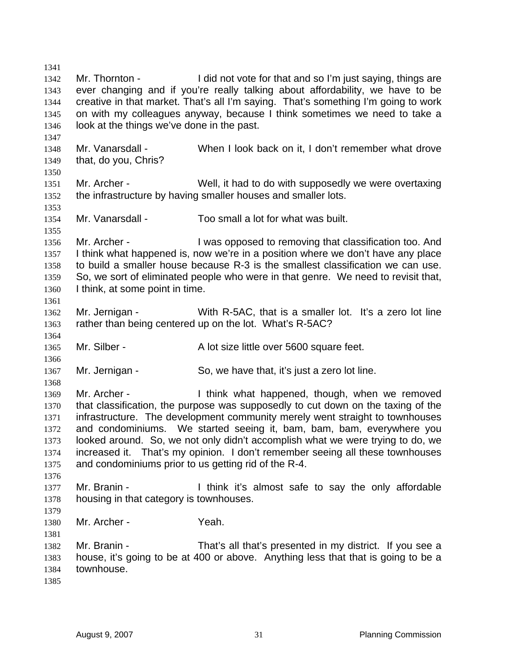1342 Mr. Thornton - I did not vote for that and so I'm just saying, things are ever changing and if you're really talking about affordability, we have to be creative in that market. That's all I'm saying. That's something I'm going to work on with my colleagues anyway, because I think sometimes we need to take a look at the things we've done in the past. Mr. Vanarsdall - When I look back on it, I don't remember what drove that, do you, Chris? Mr. Archer - Well, it had to do with supposedly we were overtaxing the infrastructure by having smaller houses and smaller lots. Mr. Vanarsdall - Too small a lot for what was built. 1356 Mr. Archer - I was opposed to removing that classification too. And I think what happened is, now we're in a position where we don't have any place to build a smaller house because R-3 is the smallest classification we can use. So, we sort of eliminated people who were in that genre. We need to revisit that, I think, at some point in time. Mr. Jernigan - With R-5AC, that is a smaller lot. It's a zero lot line 1363 rather than being centered up on the lot. What's R-5AC? 1365 Mr. Silber - A lot size little over 5600 square feet. Mr. Jernigan - So, we have that, it's just a zero lot line. Mr. Archer - I think what happened, though, when we removed that classification, the purpose was supposedly to cut down on the taxing of the infrastructure. The development community merely went straight to townhouses and condominiums. We started seeing it, bam, bam, bam, everywhere you looked around. So, we not only didn't accomplish what we were trying to do, we increased it. That's my opinion. I don't remember seeing all these townhouses and condominiums prior to us getting rid of the R-4. Mr. Branin - I think it's almost safe to say the only affordable housing in that category is townhouses. Mr. Archer - Yeah. Mr. Branin - That's all that's presented in my district. If you see a house, it's going to be at 400 or above. Anything less that that is going to be a townhouse.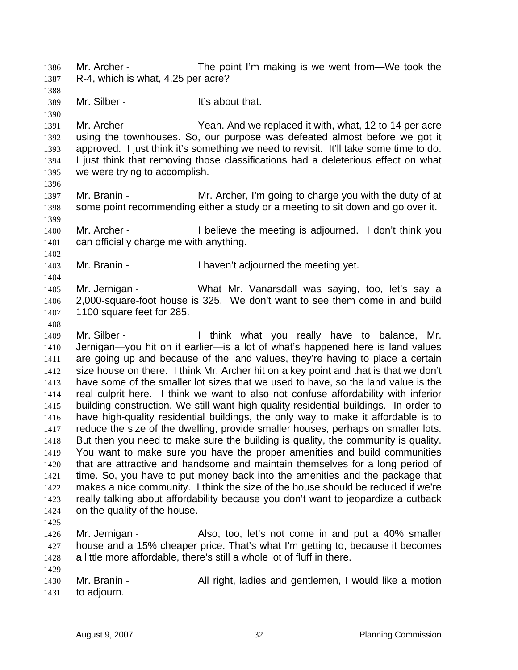Mr. Archer - The point I'm making is we went from—We took the R-4, which is what, 4.25 per acre?

1389 Mr. Silber - It's about that.

Mr. Archer - Yeah. And we replaced it with, what, 12 to 14 per acre using the townhouses. So, our purpose was defeated almost before we got it approved. I just think it's something we need to revisit. It'll take some time to do. I just think that removing those classifications had a deleterious effect on what we were trying to accomplish.

1397 Mr. Branin - Mr. Archer, I'm going to charge you with the duty of at some point recommending either a study or a meeting to sit down and go over it. 

Mr. Archer - I believe the meeting is adjourned. I don't think you can officially charge me with anything.

1403 Mr. Branin - I haven't adjourned the meeting yet.

Mr. Jernigan - What Mr. Vanarsdall was saying, too, let's say a 2,000-square-foot house is 325. We don't want to see them come in and build 1100 square feet for 285.

1409 Mr. Silber - I think what you really have to balance, Mr. Jernigan—you hit on it earlier—is a lot of what's happened here is land values are going up and because of the land values, they're having to place a certain size house on there. I think Mr. Archer hit on a key point and that is that we don't have some of the smaller lot sizes that we used to have, so the land value is the real culprit here. I think we want to also not confuse affordability with inferior building construction. We still want high-quality residential buildings. In order to have high-quality residential buildings, the only way to make it affordable is to reduce the size of the dwelling, provide smaller houses, perhaps on smaller lots. But then you need to make sure the building is quality, the community is quality. You want to make sure you have the proper amenities and build communities that are attractive and handsome and maintain themselves for a long period of time. So, you have to put money back into the amenities and the package that makes a nice community. I think the size of the house should be reduced if we're really talking about affordability because you don't want to jeopardize a cutback on the quality of the house.

Mr. Jernigan - Also, too, let's not come in and put a 40% smaller house and a 15% cheaper price. That's what I'm getting to, because it becomes a little more affordable, there's still a whole lot of fluff in there.

1430 Mr. Branin - All right, ladies and gentlemen, I would like a motion to adjourn.